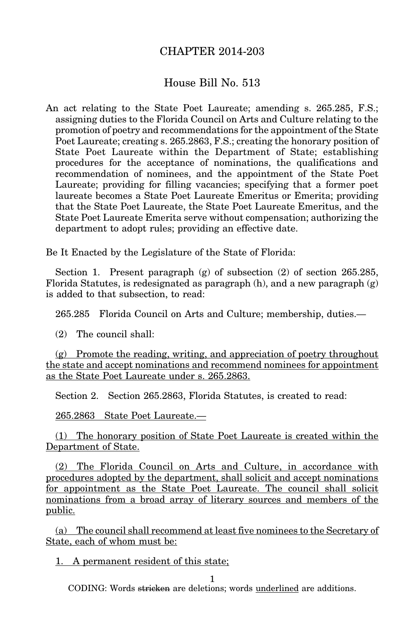## CHAPTER 2014-203

## House Bill No. 513

An act relating to the State Poet Laureate; amending s. 265.285, F.S.; assigning duties to the Florida Council on Arts and Culture relating to the promotion of poetry and recommendations for the appointment of the State Poet Laureate; creating s. 265.2863, F.S.; creating the honorary position of State Poet Laureate within the Department of State; establishing procedures for the acceptance of nominations, the qualifications and recommendation of nominees, and the appointment of the State Poet Laureate; providing for filling vacancies; specifying that a former poet laureate becomes a State Poet Laureate Emeritus or Emerita; providing that the State Poet Laureate, the State Poet Laureate Emeritus, and the State Poet Laureate Emerita serve without compensation; authorizing the department to adopt rules; providing an effective date.

Be It Enacted by the Legislature of the State of Florida:

Section 1. Present paragraph (g) of subsection (2) of section 265.285, Florida Statutes, is redesignated as paragraph  $(h)$ , and a new paragraph  $(g)$ is added to that subsection, to read:

265.285 Florida Council on Arts and Culture; membership, duties.—

(2) The council shall:

(g) Promote the reading, writing, and appreciation of poetry throughout the state and accept nominations and recommend nominees for appointment as the State Poet Laureate under s. 265.2863.

Section 2. Section 265.2863, Florida Statutes, is created to read:

265.2863 State Poet Laureate.—

(1) The honorary position of State Poet Laureate is created within the Department of State.

(2) The Florida Council on Arts and Culture, in accordance with procedures adopted by the department, shall solicit and accept nominations for appointment as the State Poet Laureate. The council shall solicit nominations from a broad array of literary sources and members of the public.

(a) The council shall recommend at least five nominees to the Secretary of State, each of whom must be:

1. A permanent resident of this state;

1

CODING: Words stricken are deletions; words underlined are additions.